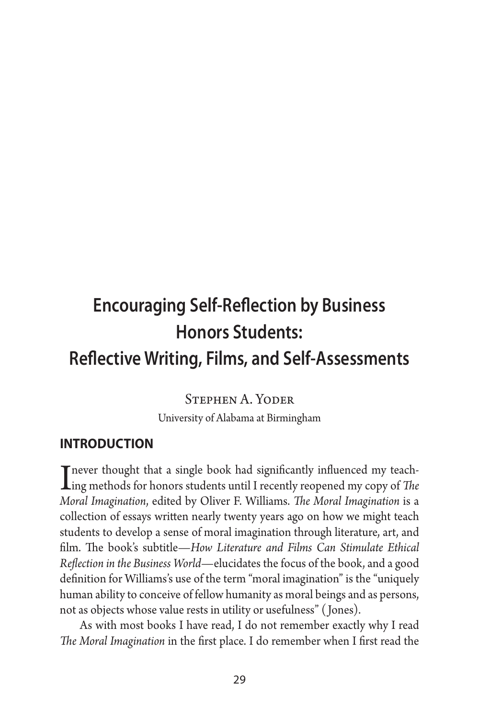# **Encouraging Self-Reflection by Business Honors Students: Reflective Writing, Films, and Self-Assessments**

Stephen A. Yoder

University of Alabama at Birmingham

### **introduction**

I never thought that a single book had significantly influenced my teach-<br>Ing methods for honors students until I recently reopened my copy of *The*<br>Mand Interior time of the **Oliver E** Williams *The Mand Interior is* a *Moral Imagination*, edited by Oliver F. Williams. *The Moral Imagination* is a collection of essays written nearly twenty years ago on how we might teach students to develop a sense of moral imagination through literature, art, and film. The book's subtitle—*How Literature and Films Can Stimulate Ethical Reflection in the Business World*—elucidates the focus of the book, and a good definition for Williams's use of the term "moral imagination" is the "uniquely human ability to conceive of fellow humanity as moral beings and as persons, not as objects whose value rests in utility or usefulness" ( Jones).

As with most books I have read, I do not remember exactly why I read *The Moral Imagination* in the first place. I do remember when I first read the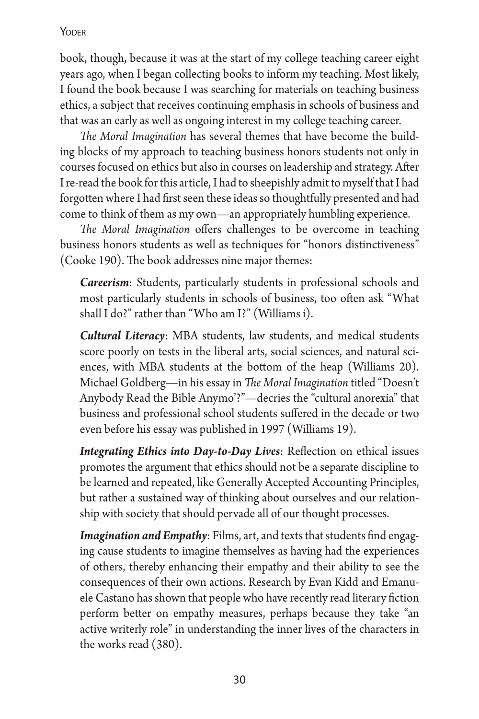book, though, because it was at the start of my college teaching career eight years ago, when I began collecting books to inform my teaching. Most likely, I found the book because I was searching for materials on teaching business ethics, a subject that receives continuing emphasis in schools of business and that was an early as well as ongoing interest in my college teaching career.

*The Moral Imagination* has several themes that have become the building blocks of my approach to teaching business honors students not only in courses focused on ethics but also in courses on leadership and strategy. After I re-read the book for this article, I had to sheepishly admit to myself that I had forgotten where I had first seen these ideas so thoughtfully presented and had come to think of them as my own—an appropriately humbling experience.

*The Moral Imagination* offers challenges to be overcome in teaching business honors students as well as techniques for "honors distinctiveness" (Cooke 190). The book addresses nine major themes:

*Careerism*: Students, particularly students in professional schools and most particularly students in schools of business, too often ask "What shall I do?" rather than "Who am I?" (Williams i).

*Cultural Literacy*: MBA students, law students, and medical students score poorly on tests in the liberal arts, social sciences, and natural sciences, with MBA students at the bottom of the heap (Williams 20). Michael Goldberg—in his essay in *The Moral Imagination* titled "Doesn't Anybody Read the Bible Anymo'?"—decries the "cultural anorexia" that business and professional school students suffered in the decade or two even before his essay was published in 1997 (Williams 19).

*Integrating Ethics into Day-to-Day Lives*: Reflection on ethical issues promotes the argument that ethics should not be a separate discipline to be learned and repeated, like Generally Accepted Accounting Principles, but rather a sustained way of thinking about ourselves and our relationship with society that should pervade all of our thought processes.

*Imagination and Empathy*: Films, art, and texts that students find engaging cause students to imagine themselves as having had the experiences of others, thereby enhancing their empathy and their ability to see the consequences of their own actions. Research by Evan Kidd and Emanuele Castano has shown that people who have recently read literary fiction perform better on empathy measures, perhaps because they take "an active writerly role" in understanding the inner lives of the characters in the works read (380).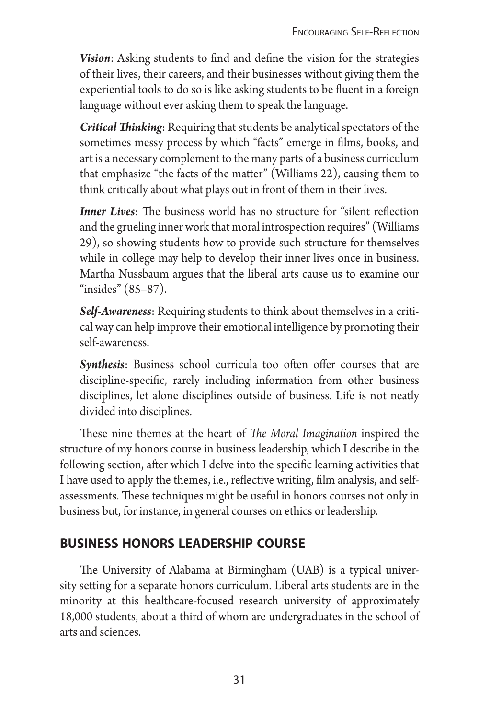*Vision*: Asking students to find and define the vision for the strategies of their lives, their careers, and their businesses without giving them the experiential tools to do so is like asking students to be fluent in a foreign language without ever asking them to speak the language.

*Critical Thinking*: Requiring that students be analytical spectators of the sometimes messy process by which "facts" emerge in films, books, and art is a necessary complement to the many parts of a business curriculum that emphasize "the facts of the matter" (Williams 22), causing them to think critically about what plays out in front of them in their lives.

*Inner Lives*: The business world has no structure for "silent reflection" and the grueling inner work that moral introspection requires" (Williams 29), so showing students how to provide such structure for themselves while in college may help to develop their inner lives once in business. Martha Nussbaum argues that the liberal arts cause us to examine our "insides" (85–87).

*Self-Awareness*: Requiring students to think about themselves in a critical way can help improve their emotional intelligence by promoting their self-awareness.

*Synthesis*: Business school curricula too often offer courses that are discipline-specific, rarely including information from other business disciplines, let alone disciplines outside of business. Life is not neatly divided into disciplines.

These nine themes at the heart of *The Moral Imagination* inspired the structure of my honors course in business leadership, which I describe in the following section, after which I delve into the specific learning activities that I have used to apply the themes, i.e., reflective writing, film analysis, and selfassessments. These techniques might be useful in honors courses not only in business but, for instance, in general courses on ethics or leadership.

# **business honors leadership course**

The University of Alabama at Birmingham (UAB) is a typical university setting for a separate honors curriculum. Liberal arts students are in the minority at this healthcare-focused research university of approximately 18,000 students, about a third of whom are undergraduates in the school of arts and sciences.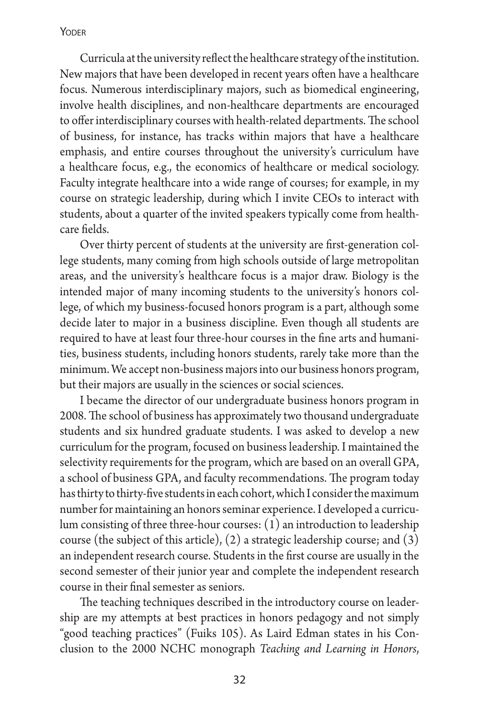Curricula at the university reflect the healthcare strategy of the institution. New majors that have been developed in recent years often have a healthcare focus. Numerous interdisciplinary majors, such as biomedical engineering, involve health disciplines, and non-healthcare departments are encouraged to offer interdisciplinary courses with health-related departments. The school of business, for instance, has tracks within majors that have a healthcare emphasis, and entire courses throughout the university's curriculum have a healthcare focus, e.g., the economics of healthcare or medical sociology. Faculty integrate healthcare into a wide range of courses; for example, in my course on strategic leadership, during which I invite CEOs to interact with students, about a quarter of the invited speakers typically come from healthcare fields.

Over thirty percent of students at the university are first-generation college students, many coming from high schools outside of large metropolitan areas, and the university's healthcare focus is a major draw. Biology is the intended major of many incoming students to the university's honors college, of which my business-focused honors program is a part, although some decide later to major in a business discipline. Even though all students are required to have at least four three-hour courses in the fine arts and humanities, business students, including honors students, rarely take more than the minimum. We accept non-business majors into our business honors program, but their majors are usually in the sciences or social sciences.

I became the director of our undergraduate business honors program in 2008. The school of business has approximately two thousand undergraduate students and six hundred graduate students. I was asked to develop a new curriculum for the program, focused on business leadership. I maintained the selectivity requirements for the program, which are based on an overall GPA, a school of business GPA, and faculty recommendations. The program today has thirty to thirty-five students in each cohort, which I consider the maximum number for maintaining an honors seminar experience. I developed a curriculum consisting of three three-hour courses: (1) an introduction to leadership course (the subject of this article), (2) a strategic leadership course; and (3) an independent research course. Students in the first course are usually in the second semester of their junior year and complete the independent research course in their final semester as seniors.

The teaching techniques described in the introductory course on leadership are my attempts at best practices in honors pedagogy and not simply "good teaching practices" (Fuiks 105). As Laird Edman states in his Conclusion to the 2000 NCHC monograph *Teaching and Learning in Honors*,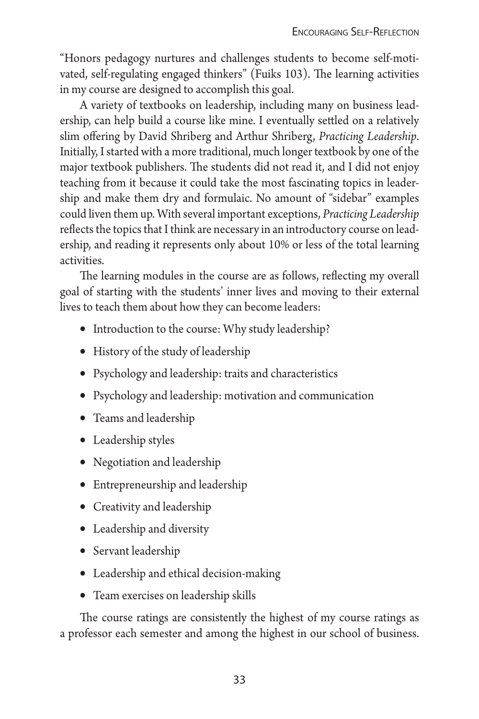"Honors pedagogy nurtures and challenges students to become self-motivated, self-regulating engaged thinkers" (Fuiks 103). The learning activities in my course are designed to accomplish this goal.

A variety of textbooks on leadership, including many on business leadership, can help build a course like mine. I eventually settled on a relatively slim offering by David Shriberg and Arthur Shriberg, *Practicing Leadership*. Initially, I started with a more traditional, much longer textbook by one of the major textbook publishers. The students did not read it, and I did not enjoy teaching from it because it could take the most fascinating topics in leadership and make them dry and formulaic. No amount of "sidebar" examples could liven them up. With several important exceptions, *Practicing Leadership* reflects the topics that I think are necessary in an introductory course on leadership, and reading it represents only about 10% or less of the total learning activities.

The learning modules in the course are as follows, reflecting my overall goal of starting with the students' inner lives and moving to their external lives to teach them about how they can become leaders:

- Introduction to the course: Why study leadership?
- History of the study of leadership
- • Psychology and leadership: traits and characteristics
- Psychology and leadership: motivation and communication
- Teams and leadership
- Leadership styles
- Negotiation and leadership
- Entrepreneurship and leadership
- • Creativity and leadership
- Leadership and diversity
- Servant leadership
- Leadership and ethical decision-making
- Team exercises on leadership skills

The course ratings are consistently the highest of my course ratings as a professor each semester and among the highest in our school of business.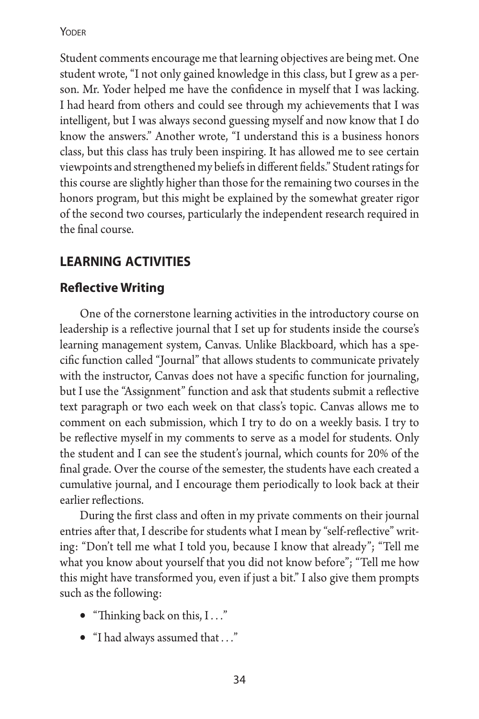Student comments encourage me that learning objectives are being met. One student wrote, "I not only gained knowledge in this class, but I grew as a person. Mr. Yoder helped me have the confidence in myself that I was lacking. I had heard from others and could see through my achievements that I was intelligent, but I was always second guessing myself and now know that I do know the answers." Another wrote, "I understand this is a business honors class, but this class has truly been inspiring. It has allowed me to see certain viewpoints and strengthened my beliefs in different fields." Student ratings for this course are slightly higher than those for the remaining two courses in the honors program, but this might be explained by the somewhat greater rigor of the second two courses, particularly the independent research required in the final course.

# **learning activities**

# **Reflective Writing**

One of the cornerstone learning activities in the introductory course on leadership is a reflective journal that I set up for students inside the course's learning management system, Canvas. Unlike Blackboard, which has a specific function called "Journal" that allows students to communicate privately with the instructor, Canvas does not have a specific function for journaling, but I use the "Assignment" function and ask that students submit a reflective text paragraph or two each week on that class's topic. Canvas allows me to comment on each submission, which I try to do on a weekly basis. I try to be reflective myself in my comments to serve as a model for students. Only the student and I can see the student's journal, which counts for 20% of the final grade. Over the course of the semester, the students have each created a cumulative journal, and I encourage them periodically to look back at their earlier reflections.

During the first class and often in my private comments on their journal entries after that, I describe for students what I mean by "self-reflective" writing: "Don't tell me what I told you, because I know that already"; "Tell me what you know about yourself that you did not know before"; "Tell me how this might have transformed you, even if just a bit." I also give them prompts such as the following:

- • "Thinking back on this, I *. . .*"
- • "I had always assumed that *. . .*"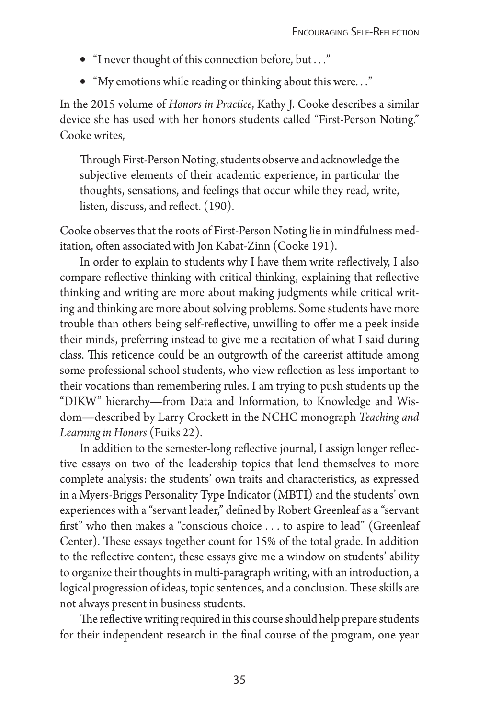- • "I never thought of this connection before, but *. . .*"
- • "My emotions while reading or thinking about this were*. . .*"

In the 2015 volume of *Honors in Practice*, Kathy J. Cooke describes a similar device she has used with her honors students called "First-Person Noting." Cooke writes,

Through First-Person Noting, students observe and acknowledge the subjective elements of their academic experience, in particular the thoughts, sensations, and feelings that occur while they read, write, listen, discuss, and reflect. (190).

Cooke observes that the roots of First-Person Noting lie in mindfulness meditation, often associated with Jon Kabat-Zinn (Cooke 191).

In order to explain to students why I have them write reflectively, I also compare reflective thinking with critical thinking, explaining that reflective thinking and writing are more about making judgments while critical writing and thinking are more about solving problems. Some students have more trouble than others being self-reflective, unwilling to offer me a peek inside their minds, preferring instead to give me a recitation of what I said during class. This reticence could be an outgrowth of the careerist attitude among some professional school students, who view reflection as less important to their vocations than remembering rules. I am trying to push students up the "DIKW" hierarchy—from Data and Information, to Knowledge and Wisdom—described by Larry Crockett in the NCHC monograph *Teaching and Learning in Honors* (Fuiks 22).

In addition to the semester-long reflective journal, I assign longer reflective essays on two of the leadership topics that lend themselves to more complete analysis: the students' own traits and characteristics, as expressed in a Myers-Briggs Personality Type Indicator (MBTI) and the students' own experiences with a "servant leader," defined by Robert Greenleaf as a "servant first" who then makes a "conscious choice *. . .* to aspire to lead" (Greenleaf Center). These essays together count for 15% of the total grade. In addition to the reflective content, these essays give me a window on students' ability to organize their thoughts in multi-paragraph writing, with an introduction, a logical progression of ideas, topic sentences, and a conclusion. These skills are not always present in business students.

The reflective writing required in this course should help prepare students for their independent research in the final course of the program, one year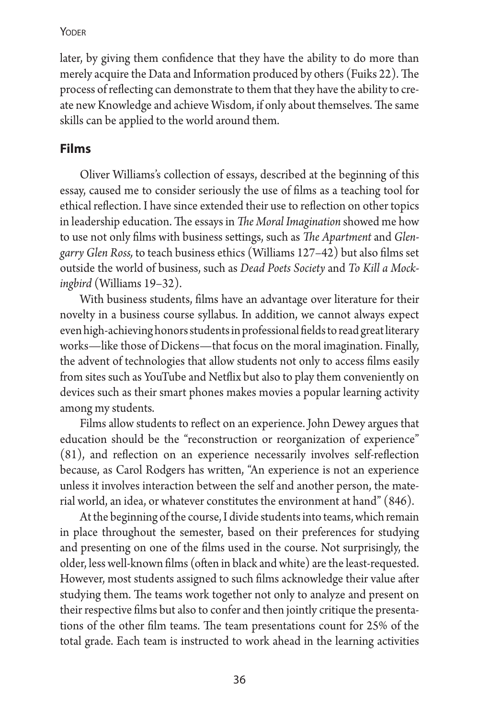later, by giving them confidence that they have the ability to do more than merely acquire the Data and Information produced by others (Fuiks 22). The process of reflecting can demonstrate to them that they have the ability to create new Knowledge and achieve Wisdom, if only about themselves. The same skills can be applied to the world around them.

### **Films**

Oliver Williams's collection of essays, described at the beginning of this essay, caused me to consider seriously the use of films as a teaching tool for ethical reflection. I have since extended their use to reflection on other topics in leadership education. The essays in *The Moral Imagination* showed me how to use not only films with business settings, such as *The Apartment* and *Glengarry Glen Ross,* to teach business ethics (Williams 127–42) but also films set outside the world of business, such as *Dead Poets Society* and *To Kill a Mockingbird* (Williams 19–32).

With business students, films have an advantage over literature for their novelty in a business course syllabus. In addition, we cannot always expect even high-achieving honors students in professional fields to read great literary works—like those of Dickens—that focus on the moral imagination. Finally, the advent of technologies that allow students not only to access films easily from sites such as YouTube and Netflix but also to play them conveniently on devices such as their smart phones makes movies a popular learning activity among my students.

Films allow students to reflect on an experience. John Dewey argues that education should be the "reconstruction or reorganization of experience" (81), and reflection on an experience necessarily involves self-reflection because, as Carol Rodgers has written, "An experience is not an experience unless it involves interaction between the self and another person, the material world, an idea, or whatever constitutes the environment at hand" (846).

At the beginning of the course, I divide students into teams, which remain in place throughout the semester, based on their preferences for studying and presenting on one of the films used in the course. Not surprisingly, the older, less well-known films (often in black and white) are the least-requested. However, most students assigned to such films acknowledge their value after studying them. The teams work together not only to analyze and present on their respective films but also to confer and then jointly critique the presentations of the other film teams. The team presentations count for 25% of the total grade. Each team is instructed to work ahead in the learning activities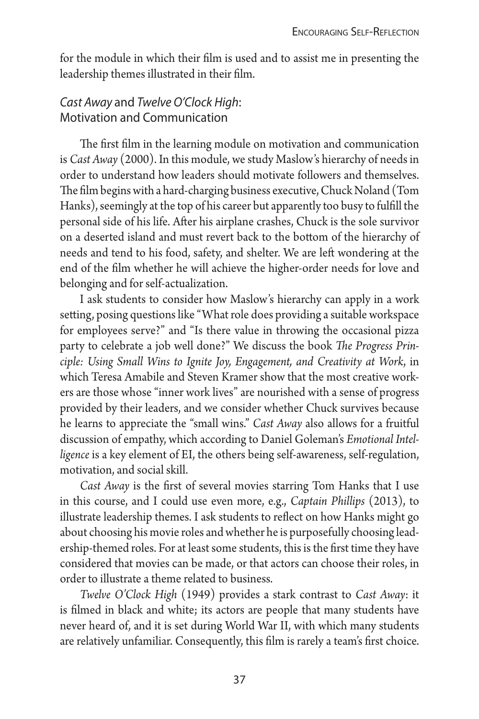for the module in which their film is used and to assist me in presenting the leadership themes illustrated in their film.

### *Cast Away* and *Twelve O'Clock High*: Motivation and Communication

The first film in the learning module on motivation and communication is *Cast Away* (2000). In this module, we study Maslow's hierarchy of needs in order to understand how leaders should motivate followers and themselves. The film begins with a hard-charging business executive, Chuck Noland (Tom Hanks), seemingly at the top of his career but apparently too busy to fulfill the personal side of his life. After his airplane crashes, Chuck is the sole survivor on a deserted island and must revert back to the bottom of the hierarchy of needs and tend to his food, safety, and shelter. We are left wondering at the end of the film whether he will achieve the higher-order needs for love and belonging and for self-actualization.

I ask students to consider how Maslow's hierarchy can apply in a work setting, posing questions like "What role does providing a suitable workspace for employees serve?" and "Is there value in throwing the occasional pizza party to celebrate a job well done?" We discuss the book *The Progress Principle: Using Small Wins to Ignite Joy, Engagement, and Creativity at Work*, in which Teresa Amabile and Steven Kramer show that the most creative workers are those whose "inner work lives" are nourished with a sense of progress provided by their leaders, and we consider whether Chuck survives because he learns to appreciate the "small wins." *Cast Away* also allows for a fruitful discussion of empathy, which according to Daniel Goleman's *Emotional Intelligence* is a key element of EI, the others being self-awareness, self-regulation, motivation, and social skill.

*Cast Away* is the first of several movies starring Tom Hanks that I use in this course, and I could use even more, e.g., *Captain Phillips* (2013), to illustrate leadership themes. I ask students to reflect on how Hanks might go about choosing his movie roles and whether he is purposefully choosing leadership-themed roles. For at least some students, this is the first time they have considered that movies can be made, or that actors can choose their roles, in order to illustrate a theme related to business.

*Twelve O'Clock High* (1949) provides a stark contrast to *Cast Away*: it is filmed in black and white; its actors are people that many students have never heard of, and it is set during World War II, with which many students are relatively unfamiliar. Consequently, this film is rarely a team's first choice.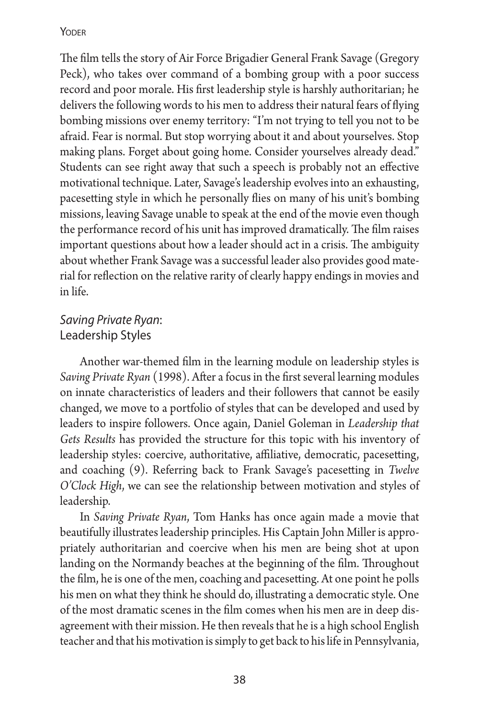The film tells the story of Air Force Brigadier General Frank Savage (Gregory Peck), who takes over command of a bombing group with a poor success record and poor morale. His first leadership style is harshly authoritarian; he delivers the following words to his men to address their natural fears of flying bombing missions over enemy territory: "I'm not trying to tell you not to be afraid. Fear is normal. But stop worrying about it and about yourselves. Stop making plans. Forget about going home. Consider yourselves already dead." Students can see right away that such a speech is probably not an effective motivational technique. Later, Savage's leadership evolves into an exhausting, pacesetting style in which he personally flies on many of his unit's bombing missions, leaving Savage unable to speak at the end of the movie even though the performance record of his unit has improved dramatically. The film raises important questions about how a leader should act in a crisis. The ambiguity about whether Frank Savage was a successful leader also provides good material for reflection on the relative rarity of clearly happy endings in movies and in life.

### *Saving Private Ryan*: Leadership Styles

Another war-themed film in the learning module on leadership styles is *Saving Private Ryan* (1998). After a focus in the first several learning modules on innate characteristics of leaders and their followers that cannot be easily changed, we move to a portfolio of styles that can be developed and used by leaders to inspire followers. Once again, Daniel Goleman in *Leadership that Gets Results* has provided the structure for this topic with his inventory of leadership styles: coercive, authoritative, affiliative, democratic, pacesetting, and coaching (9). Referring back to Frank Savage's pacesetting in *Twelve O'Clock High*, we can see the relationship between motivation and styles of leadership.

In *Saving Private Ryan*, Tom Hanks has once again made a movie that beautifully illustrates leadership principles. His Captain John Miller is appropriately authoritarian and coercive when his men are being shot at upon landing on the Normandy beaches at the beginning of the film. Throughout the film, he is one of the men, coaching and pacesetting. At one point he polls his men on what they think he should do, illustrating a democratic style. One of the most dramatic scenes in the film comes when his men are in deep disagreement with their mission. He then reveals that he is a high school English teacher and that his motivation is simply to get back to his life in Pennsylvania,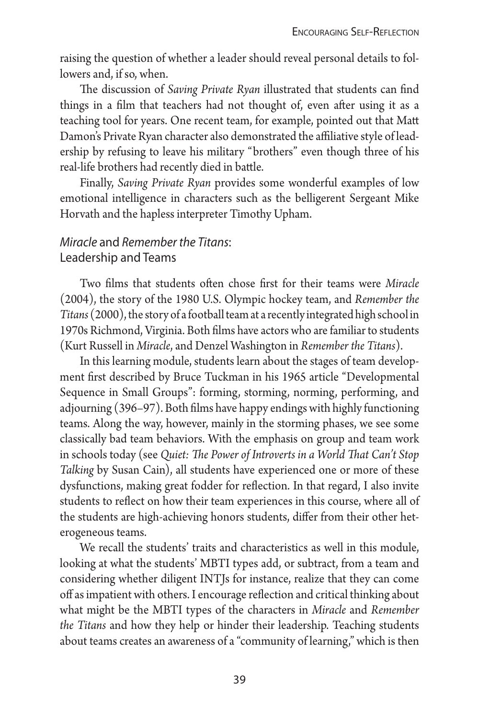raising the question of whether a leader should reveal personal details to followers and, if so, when.

The discussion of *Saving Private Ryan* illustrated that students can find things in a film that teachers had not thought of, even after using it as a teaching tool for years. One recent team, for example, pointed out that Matt Damon's Private Ryan character also demonstrated the affiliative style of leadership by refusing to leave his military "brothers" even though three of his real-life brothers had recently died in battle.

Finally, *Saving Private Ryan* provides some wonderful examples of low emotional intelligence in characters such as the belligerent Sergeant Mike Horvath and the hapless interpreter Timothy Upham.

### *Miracle* and *Remember the Titans*: Leadership and Teams

Two films that students often chose first for their teams were *Miracle* (2004), the story of the 1980 U.S. Olympic hockey team, and *Remember the Titans* (2000), the story of a football team at a recently integrated high school in 1970s Richmond, Virginia. Both films have actors who are familiar to students (Kurt Russell in *Miracle*, and Denzel Washington in *Remember the Titans*).

In this learning module, students learn about the stages of team development first described by Bruce Tuckman in his 1965 article "Developmental Sequence in Small Groups": forming, storming, norming, performing, and adjourning (396–97). Both films have happy endings with highly functioning teams. Along the way, however, mainly in the storming phases, we see some classically bad team behaviors. With the emphasis on group and team work in schools today (see *Quiet: The Power of Introverts in a World That Can't Stop Talking* by Susan Cain), all students have experienced one or more of these dysfunctions, making great fodder for reflection. In that regard, I also invite students to reflect on how their team experiences in this course, where all of the students are high-achieving honors students, differ from their other heterogeneous teams.

We recall the students' traits and characteristics as well in this module, looking at what the students' MBTI types add, or subtract, from a team and considering whether diligent INTJs for instance, realize that they can come off as impatient with others. I encourage reflection and critical thinking about what might be the MBTI types of the characters in *Miracle* and *Remember the Titans* and how they help or hinder their leadership. Teaching students about teams creates an awareness of a "community of learning," which is then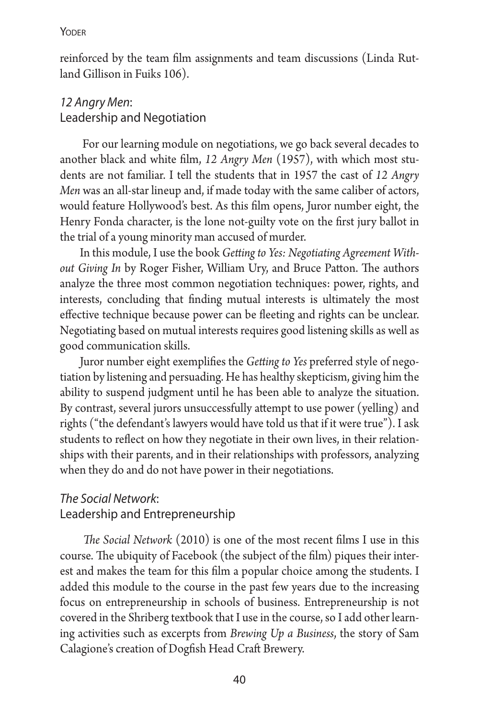reinforced by the team film assignments and team discussions (Linda Rutland Gillison in Fuiks 106).

### *12 Angry Men*: Leadership and Negotiation

 For our learning module on negotiations, we go back several decades to another black and white film, *12 Angry Men* (1957), with which most students are not familiar. I tell the students that in 1957 the cast of *12 Angry Men* was an all-star lineup and, if made today with the same caliber of actors, would feature Hollywood's best. As this film opens, Juror number eight, the Henry Fonda character, is the lone not-guilty vote on the first jury ballot in the trial of a young minority man accused of murder.

In this module, I use the book *Getting to Yes: Negotiating Agreement Without Giving In* by Roger Fisher, William Ury, and Bruce Patton. The authors analyze the three most common negotiation techniques: power, rights, and interests, concluding that finding mutual interests is ultimately the most effective technique because power can be fleeting and rights can be unclear. Negotiating based on mutual interests requires good listening skills as well as good communication skills.

Juror number eight exemplifies the *Getting to Yes* preferred style of negotiation by listening and persuading. He has healthy skepticism, giving him the ability to suspend judgment until he has been able to analyze the situation. By contrast, several jurors unsuccessfully attempt to use power (yelling) and rights ("the defendant's lawyers would have told us that if it were true"). I ask students to reflect on how they negotiate in their own lives, in their relationships with their parents, and in their relationships with professors, analyzing when they do and do not have power in their negotiations.

### *The Social Network*: Leadership and Entrepreneurship

*The Social Network* (2010) is one of the most recent films I use in this course. The ubiquity of Facebook (the subject of the film) piques their interest and makes the team for this film a popular choice among the students. I added this module to the course in the past few years due to the increasing focus on entrepreneurship in schools of business. Entrepreneurship is not covered in the Shriberg textbook that I use in the course, so I add other learning activities such as excerpts from *Brewing Up a Business*, the story of Sam Calagione's creation of Dogfish Head Craft Brewery.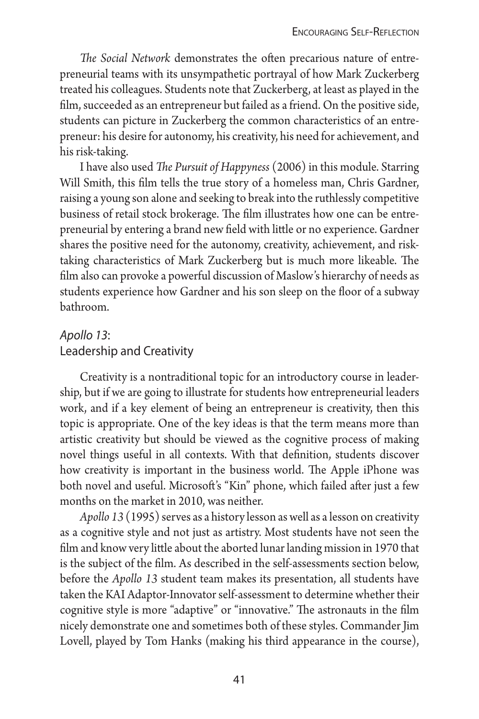*The Social Network* demonstrates the often precarious nature of entrepreneurial teams with its unsympathetic portrayal of how Mark Zuckerberg treated his colleagues. Students note that Zuckerberg, at least as played in the film, succeeded as an entrepreneur but failed as a friend. On the positive side, students can picture in Zuckerberg the common characteristics of an entrepreneur: his desire for autonomy, his creativity, his need for achievement, and his risk-taking.

I have also used *The Pursuit of Happyness* (2006) in this module. Starring Will Smith, this film tells the true story of a homeless man, Chris Gardner, raising a young son alone and seeking to break into the ruthlessly competitive business of retail stock brokerage. The film illustrates how one can be entrepreneurial by entering a brand new field with little or no experience. Gardner shares the positive need for the autonomy, creativity, achievement, and risktaking characteristics of Mark Zuckerberg but is much more likeable. The film also can provoke a powerful discussion of Maslow's hierarchy of needs as students experience how Gardner and his son sleep on the floor of a subway bathroom.

### *Apollo 13*: Leadership and Creativity

Creativity is a nontraditional topic for an introductory course in leadership, but if we are going to illustrate for students how entrepreneurial leaders work, and if a key element of being an entrepreneur is creativity, then this topic is appropriate. One of the key ideas is that the term means more than artistic creativity but should be viewed as the cognitive process of making novel things useful in all contexts. With that definition, students discover how creativity is important in the business world. The Apple iPhone was both novel and useful. Microsoft's "Kin" phone, which failed after just a few months on the market in 2010, was neither.

*Apollo 13* (1995) serves as a history lesson as well as a lesson on creativity as a cognitive style and not just as artistry. Most students have not seen the film and know very little about the aborted lunar landing mission in 1970 that is the subject of the film. As described in the self-assessments section below, before the *Apollo 13* student team makes its presentation, all students have taken the KAI Adaptor-Innovator self-assessment to determine whether their cognitive style is more "adaptive" or "innovative." The astronauts in the film nicely demonstrate one and sometimes both of these styles. Commander Jim Lovell, played by Tom Hanks (making his third appearance in the course),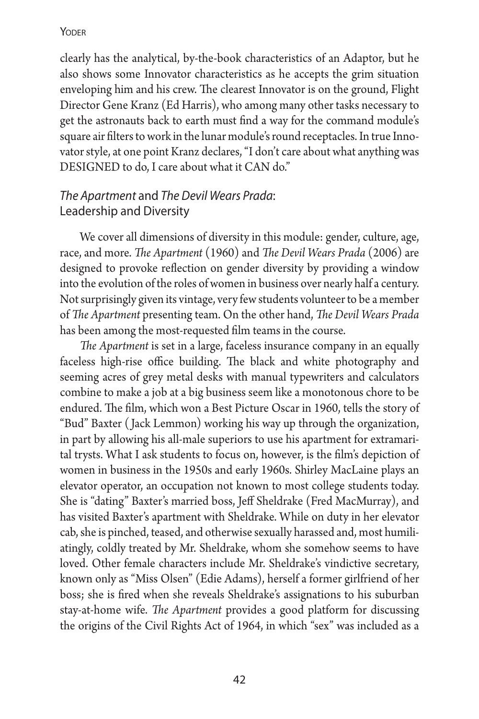clearly has the analytical, by-the-book characteristics of an Adaptor, but he also shows some Innovator characteristics as he accepts the grim situation enveloping him and his crew. The clearest Innovator is on the ground, Flight Director Gene Kranz (Ed Harris), who among many other tasks necessary to get the astronauts back to earth must find a way for the command module's square air filters to work in the lunar module's round receptacles. In true Innovator style, at one point Kranz declares, "I don't care about what anything was DESIGNED to do, I care about what it CAN do."

### *The Apartment* and *The Devil Wears Prada*: Leadership and Diversity

We cover all dimensions of diversity in this module: gender, culture, age, race, and more. *The Apartment* (1960) and *The Devil Wears Prada* (2006) are designed to provoke reflection on gender diversity by providing a window into the evolution of the roles of women in business over nearly half a century. Not surprisingly given its vintage, very few students volunteer to be a member of *The Apartment* presenting team. On the other hand, *The Devil Wears Prada* has been among the most-requested film teams in the course.

*The Apartment* is set in a large, faceless insurance company in an equally faceless high-rise office building. The black and white photography and seeming acres of grey metal desks with manual typewriters and calculators combine to make a job at a big business seem like a monotonous chore to be endured. The film, which won a Best Picture Oscar in 1960, tells the story of "Bud" Baxter ( Jack Lemmon) working his way up through the organization, in part by allowing his all-male superiors to use his apartment for extramarital trysts. What I ask students to focus on, however, is the film's depiction of women in business in the 1950s and early 1960s. Shirley MacLaine plays an elevator operator, an occupation not known to most college students today. She is "dating" Baxter's married boss, Jeff Sheldrake (Fred MacMurray), and has visited Baxter's apartment with Sheldrake. While on duty in her elevator cab, she is pinched, teased, and otherwise sexually harassed and, most humiliatingly, coldly treated by Mr. Sheldrake, whom she somehow seems to have loved. Other female characters include Mr. Sheldrake's vindictive secretary, known only as "Miss Olsen" (Edie Adams), herself a former girlfriend of her boss; she is fired when she reveals Sheldrake's assignations to his suburban stay-at-home wife. *The Apartment* provides a good platform for discussing the origins of the Civil Rights Act of 1964, in which "sex" was included as a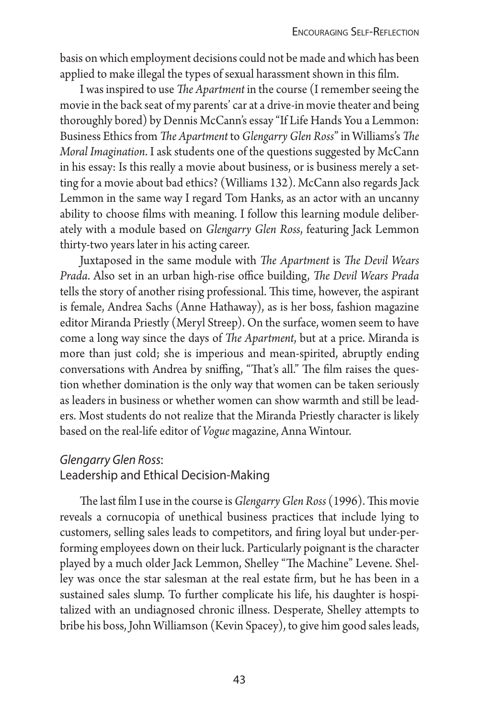basis on which employment decisions could not be made and which has been applied to make illegal the types of sexual harassment shown in this film.

I was inspired to use *The Apartment* in the course (I remember seeing the movie in the back seat of my parents' car at a drive-in movie theater and being thoroughly bored) by Dennis McCann's essay "If Life Hands You a Lemmon: Business Ethics from *The Apartment* to *Glengarry Glen Ross*" in Williams's *The Moral Imagination*. I ask students one of the questions suggested by McCann in his essay: Is this really a movie about business, or is business merely a setting for a movie about bad ethics? (Williams 132). McCann also regards Jack Lemmon in the same way I regard Tom Hanks, as an actor with an uncanny ability to choose films with meaning. I follow this learning module deliberately with a module based on *Glengarry Glen Ross*, featuring Jack Lemmon thirty-two years later in his acting career.

Juxtaposed in the same module with *The Apartment* is *The Devil Wears Prada*. Also set in an urban high-rise office building, *The Devil Wears Prada* tells the story of another rising professional. This time, however, the aspirant is female, Andrea Sachs (Anne Hathaway), as is her boss, fashion magazine editor Miranda Priestly (Meryl Streep). On the surface, women seem to have come a long way since the days of *The Apartment*, but at a price. Miranda is more than just cold; she is imperious and mean-spirited, abruptly ending conversations with Andrea by sniffing, "That's all." The film raises the question whether domination is the only way that women can be taken seriously as leaders in business or whether women can show warmth and still be leaders. Most students do not realize that the Miranda Priestly character is likely based on the real-life editor of *Vogue* magazine, Anna Wintour.

### *Glengarry Glen Ross*: Leadership and Ethical Decision-Making

The last film I use in the course is *Glengarry Glen Ross* (1996). This movie reveals a cornucopia of unethical business practices that include lying to customers, selling sales leads to competitors, and firing loyal but under-performing employees down on their luck. Particularly poignant is the character played by a much older Jack Lemmon, Shelley "The Machine" Levene. Shelley was once the star salesman at the real estate firm, but he has been in a sustained sales slump. To further complicate his life, his daughter is hospitalized with an undiagnosed chronic illness. Desperate, Shelley attempts to bribe his boss, John Williamson (Kevin Spacey), to give him good sales leads,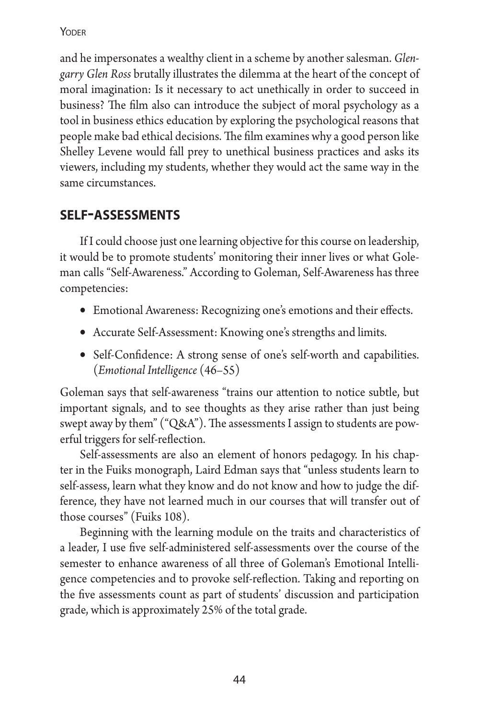and he impersonates a wealthy client in a scheme by another salesman. *Glengarry Glen Ross* brutally illustrates the dilemma at the heart of the concept of moral imagination: Is it necessary to act unethically in order to succeed in business? The film also can introduce the subject of moral psychology as a tool in business ethics education by exploring the psychological reasons that people make bad ethical decisions. The film examines why a good person like Shelley Levene would fall prey to unethical business practices and asks its viewers, including my students, whether they would act the same way in the same circumstances.

# **self-assessments**

If I could choose just one learning objective for this course on leadership, it would be to promote students' monitoring their inner lives or what Goleman calls "Self-Awareness." According to Goleman, Self-Awareness has three competencies:

- Emotional Awareness: Recognizing one's emotions and their effects.
- Accurate Self-Assessment: Knowing one's strengths and limits.
- Self-Confidence: A strong sense of one's self-worth and capabilities. (*Emotional Intelligence* (46–55)

Goleman says that self-awareness "trains our attention to notice subtle, but important signals, and to see thoughts as they arise rather than just being swept away by them" ("Q&A"). The assessments I assign to students are powerful triggers for self-reflection.

Self-assessments are also an element of honors pedagogy. In his chapter in the Fuiks monograph, Laird Edman says that "unless students learn to self-assess, learn what they know and do not know and how to judge the difference, they have not learned much in our courses that will transfer out of those courses" (Fuiks 108).

Beginning with the learning module on the traits and characteristics of a leader, I use five self-administered self-assessments over the course of the semester to enhance awareness of all three of Goleman's Emotional Intelligence competencies and to provoke self-reflection. Taking and reporting on the five assessments count as part of students' discussion and participation grade, which is approximately 25% of the total grade.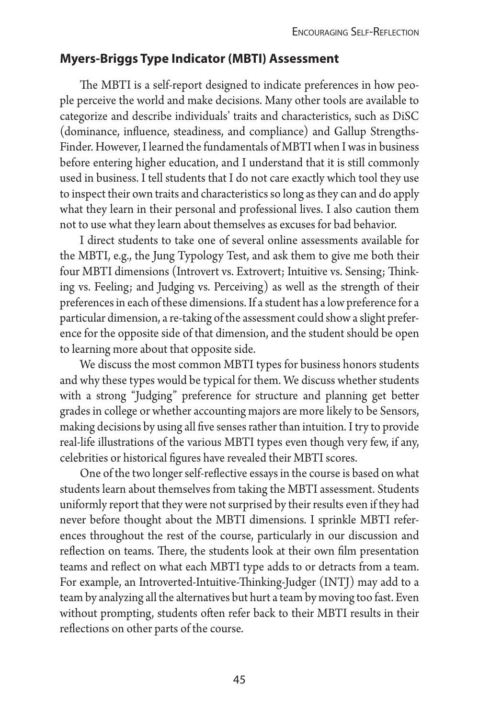### **Myers-Briggs Type Indicator (MBTI) Assessment**

The MBTI is a self-report designed to indicate preferences in how people perceive the world and make decisions. Many other tools are available to categorize and describe individuals' traits and characteristics, such as DiSC (dominance, influence, steadiness, and compliance) and Gallup Strengths-Finder. However, I learned the fundamentals of MBTI when I was in business before entering higher education, and I understand that it is still commonly used in business. I tell students that I do not care exactly which tool they use to inspect their own traits and characteristics so long as they can and do apply what they learn in their personal and professional lives. I also caution them not to use what they learn about themselves as excuses for bad behavior.

I direct students to take one of several online assessments available for the MBTI, e.g., the Jung Typology Test, and ask them to give me both their four MBTI dimensions (Introvert vs. Extrovert; Intuitive vs. Sensing; Thinking vs. Feeling; and Judging vs. Perceiving) as well as the strength of their preferences in each of these dimensions. If a student has a low preference for a particular dimension, a re-taking of the assessment could show a slight preference for the opposite side of that dimension, and the student should be open to learning more about that opposite side.

We discuss the most common MBTI types for business honors students and why these types would be typical for them. We discuss whether students with a strong "Judging" preference for structure and planning get better grades in college or whether accounting majors are more likely to be Sensors, making decisions by using all five senses rather than intuition. I try to provide real-life illustrations of the various MBTI types even though very few, if any, celebrities or historical figures have revealed their MBTI scores.

One of the two longer self-reflective essays in the course is based on what students learn about themselves from taking the MBTI assessment. Students uniformly report that they were not surprised by their results even if they had never before thought about the MBTI dimensions. I sprinkle MBTI references throughout the rest of the course, particularly in our discussion and reflection on teams. There, the students look at their own film presentation teams and reflect on what each MBTI type adds to or detracts from a team. For example, an Introverted-Intuitive-Thinking-Judger (INTJ) may add to a team by analyzing all the alternatives but hurt a team by moving too fast. Even without prompting, students often refer back to their MBTI results in their reflections on other parts of the course.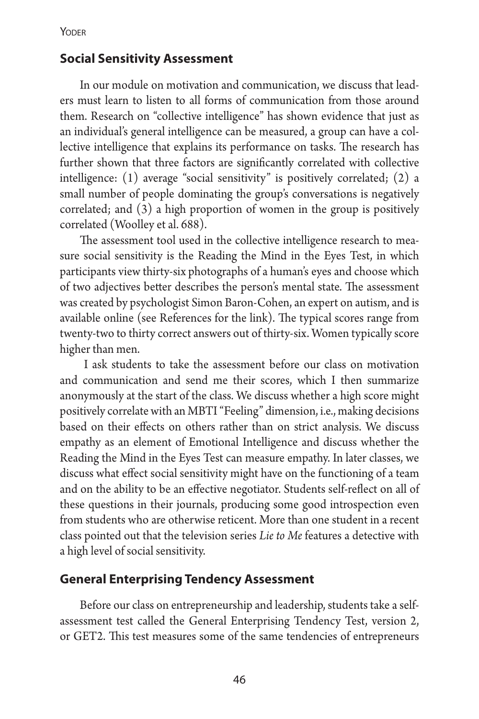### **Social Sensitivity Assessment**

In our module on motivation and communication, we discuss that leaders must learn to listen to all forms of communication from those around them. Research on "collective intelligence" has shown evidence that just as an individual's general intelligence can be measured, a group can have a collective intelligence that explains its performance on tasks. The research has further shown that three factors are significantly correlated with collective intelligence: (1) average "social sensitivity" is positively correlated; (2) a small number of people dominating the group's conversations is negatively correlated; and (3) a high proportion of women in the group is positively correlated (Woolley et al. 688).

The assessment tool used in the collective intelligence research to measure social sensitivity is the Reading the Mind in the Eyes Test, in which participants view thirty-six photographs of a human's eyes and choose which of two adjectives better describes the person's mental state. The assessment was created by psychologist Simon Baron-Cohen, an expert on autism, and is available online (see References for the link). The typical scores range from twenty-two to thirty correct answers out of thirty-six. Women typically score higher than men.

 I ask students to take the assessment before our class on motivation and communication and send me their scores, which I then summarize anonymously at the start of the class. We discuss whether a high score might positively correlate with an MBTI "Feeling" dimension, i.e., making decisions based on their effects on others rather than on strict analysis. We discuss empathy as an element of Emotional Intelligence and discuss whether the Reading the Mind in the Eyes Test can measure empathy. In later classes, we discuss what effect social sensitivity might have on the functioning of a team and on the ability to be an effective negotiator. Students self-reflect on all of these questions in their journals, producing some good introspection even from students who are otherwise reticent. More than one student in a recent class pointed out that the television series *Lie to Me* features a detective with a high level of social sensitivity.

#### **General Enterprising Tendency Assessment**

Before our class on entrepreneurship and leadership, students take a selfassessment test called the General Enterprising Tendency Test, version 2, or GET2. This test measures some of the same tendencies of entrepreneurs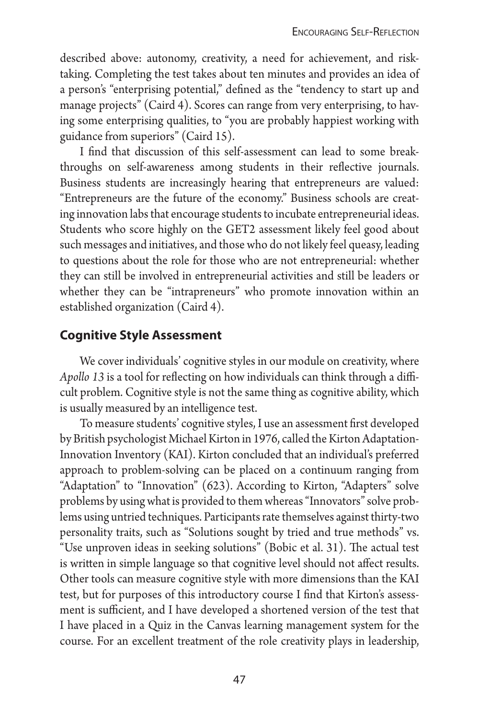described above: autonomy, creativity, a need for achievement, and risktaking. Completing the test takes about ten minutes and provides an idea of a person's "enterprising potential," defined as the "tendency to start up and manage projects" (Caird 4). Scores can range from very enterprising, to having some enterprising qualities, to "you are probably happiest working with guidance from superiors" (Caird 15).

I find that discussion of this self-assessment can lead to some breakthroughs on self-awareness among students in their reflective journals. Business students are increasingly hearing that entrepreneurs are valued: "Entrepreneurs are the future of the economy." Business schools are creating innovation labs that encourage students to incubate entrepreneurial ideas. Students who score highly on the GET2 assessment likely feel good about such messages and initiatives, and those who do not likely feel queasy, leading to questions about the role for those who are not entrepreneurial: whether they can still be involved in entrepreneurial activities and still be leaders or whether they can be "intrapreneurs" who promote innovation within an established organization (Caird 4).

### **Cognitive Style Assessment**

We cover individuals' cognitive styles in our module on creativity, where *Apollo 13* is a tool for reflecting on how individuals can think through a difficult problem. Cognitive style is not the same thing as cognitive ability, which is usually measured by an intelligence test.

To measure students' cognitive styles, I use an assessment first developed by British psychologist Michael Kirton in 1976, called the Kirton Adaptation-Innovation Inventory (KAI). Kirton concluded that an individual's preferred approach to problem-solving can be placed on a continuum ranging from "Adaptation" to "Innovation" (623). According to Kirton, "Adapters" solve problems by using what is provided to them whereas "Innovators" solve problems using untried techniques. Participants rate themselves against thirty-two personality traits, such as "Solutions sought by tried and true methods" vs. "Use unproven ideas in seeking solutions" (Bobic et al. 31). The actual test is written in simple language so that cognitive level should not affect results. Other tools can measure cognitive style with more dimensions than the KAI test, but for purposes of this introductory course I find that Kirton's assessment is sufficient, and I have developed a shortened version of the test that I have placed in a Quiz in the Canvas learning management system for the course. For an excellent treatment of the role creativity plays in leadership,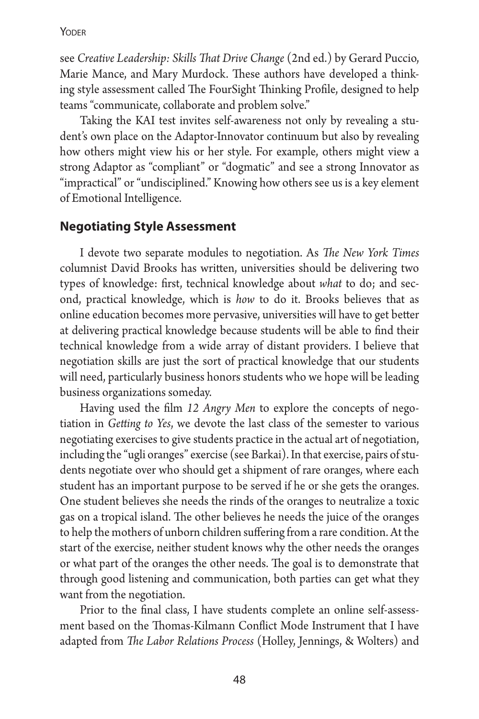see *Creative Leadership: Skills That Drive Change* (2nd ed.) by Gerard Puccio, Marie Mance, and Mary Murdock. These authors have developed a thinking style assessment called The FourSight Thinking Profile, designed to help teams "communicate, collaborate and problem solve."

Taking the KAI test invites self-awareness not only by revealing a student's own place on the Adaptor-Innovator continuum but also by revealing how others might view his or her style. For example, others might view a strong Adaptor as "compliant" or "dogmatic" and see a strong Innovator as "impractical" or "undisciplined." Knowing how others see us is a key element of Emotional Intelligence.

#### **Negotiating Style Assessment**

I devote two separate modules to negotiation. As *The New York Times* columnist David Brooks has written, universities should be delivering two types of knowledge: first, technical knowledge about *what* to do; and second, practical knowledge, which is *how* to do it. Brooks believes that as online education becomes more pervasive, universities will have to get better at delivering practical knowledge because students will be able to find their technical knowledge from a wide array of distant providers. I believe that negotiation skills are just the sort of practical knowledge that our students will need, particularly business honors students who we hope will be leading business organizations someday.

Having used the film *12 Angry Men* to explore the concepts of negotiation in *Getting to Yes*, we devote the last class of the semester to various negotiating exercises to give students practice in the actual art of negotiation, including the "ugli oranges" exercise (see Barkai). In that exercise, pairs of students negotiate over who should get a shipment of rare oranges, where each student has an important purpose to be served if he or she gets the oranges. One student believes she needs the rinds of the oranges to neutralize a toxic gas on a tropical island. The other believes he needs the juice of the oranges to help the mothers of unborn children suffering from a rare condition. At the start of the exercise, neither student knows why the other needs the oranges or what part of the oranges the other needs. The goal is to demonstrate that through good listening and communication, both parties can get what they want from the negotiation.

Prior to the final class, I have students complete an online self-assessment based on the Thomas-Kilmann Conflict Mode Instrument that I have adapted from *The Labor Relations Process* (Holley, Jennings, & Wolters) and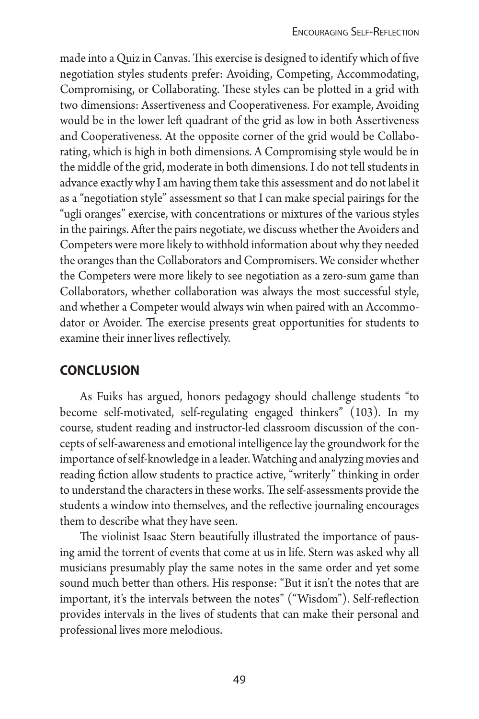made into a Quiz in Canvas. This exercise is designed to identify which of five negotiation styles students prefer: Avoiding, Competing, Accommodating, Compromising, or Collaborating. These styles can be plotted in a grid with two dimensions: Assertiveness and Cooperativeness. For example, Avoiding would be in the lower left quadrant of the grid as low in both Assertiveness and Cooperativeness. At the opposite corner of the grid would be Collaborating, which is high in both dimensions. A Compromising style would be in the middle of the grid, moderate in both dimensions. I do not tell students in advance exactly why I am having them take this assessment and do not label it as a "negotiation style" assessment so that I can make special pairings for the "ugli oranges" exercise, with concentrations or mixtures of the various styles in the pairings. After the pairs negotiate, we discuss whether the Avoiders and Competers were more likely to withhold information about why they needed the oranges than the Collaborators and Compromisers. We consider whether the Competers were more likely to see negotiation as a zero-sum game than Collaborators, whether collaboration was always the most successful style, and whether a Competer would always win when paired with an Accommodator or Avoider. The exercise presents great opportunities for students to examine their inner lives reflectively.

# **conclusion**

As Fuiks has argued, honors pedagogy should challenge students "to become self-motivated, self-regulating engaged thinkers" (103). In my course, student reading and instructor-led classroom discussion of the concepts of self-awareness and emotional intelligence lay the groundwork for the importance of self-knowledge in a leader. Watching and analyzing movies and reading fiction allow students to practice active, "writerly" thinking in order to understand the characters in these works. The self-assessments provide the students a window into themselves, and the reflective journaling encourages them to describe what they have seen.

The violinist Isaac Stern beautifully illustrated the importance of pausing amid the torrent of events that come at us in life. Stern was asked why all musicians presumably play the same notes in the same order and yet some sound much better than others. His response: "But it isn't the notes that are important, it's the intervals between the notes" ("Wisdom"). Self-reflection provides intervals in the lives of students that can make their personal and professional lives more melodious.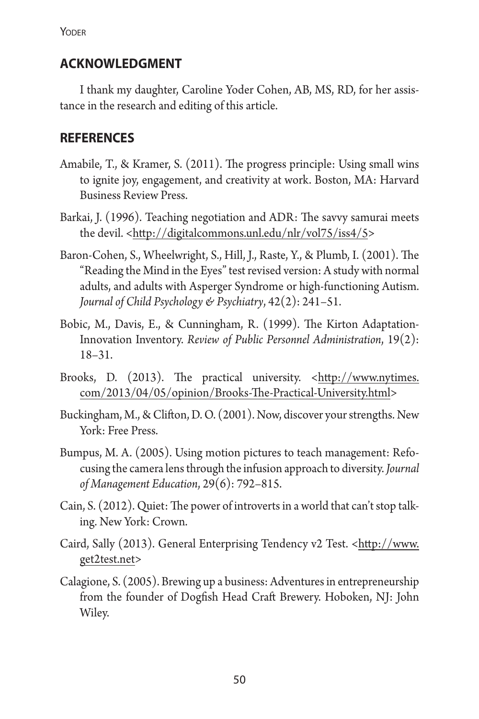### **acknowledgment**

I thank my daughter, Caroline Yoder Cohen, AB, MS, RD, for her assistance in the research and editing of this article.

# **references**

- Amabile, T., & Kramer, S. (2011). The progress principle: Using small wins to ignite joy, engagement, and creativity at work. Boston, MA: Harvard Business Review Press.
- Barkai, J. (1996). Teaching negotiation and ADR: The savvy samurai meets the devil. <http://digitalcommons.unl.edu/nlr/vol75/iss4/5>
- Baron-Cohen, S., Wheelwright, S., Hill, J., Raste, Y., & Plumb, I. (2001). The "Reading the Mind in the Eyes" test revised version: A study with normal adults, and adults with Asperger Syndrome or high-functioning Autism. *Journal of Child Psychology & Psychiatry*, 42(2): 241–51.
- Bobic, M., Davis, E., & Cunningham, R. (1999). The Kirton Adaptation-Innovation Inventory. *Review of Public Personnel Administration*, 19(2): 18–31.
- Brooks, D. (2013). The practical university. <http://www.nytimes. com/2013/04/05/opinion/Brooks-The-Practical-University.html>
- Buckingham, M., & Clifton, D. O. (2001). Now, discover your strengths. New York: Free Press.
- Bumpus, M. A. (2005). Using motion pictures to teach management: Refocusing the camera lens through the infusion approach to diversity.*Journal of Management Education*, 29(6): 792–815.
- Cain, S. (2012). Quiet: The power of introverts in a world that can't stop talking. New York: Crown.
- Caird, Sally (2013). General Enterprising Tendency v2 Test. <http://www. get2test.net>
- Calagione, S. (2005). Brewing up a business: Adventures in entrepreneurship from the founder of Dogfish Head Craft Brewery. Hoboken, NJ: John Wiley.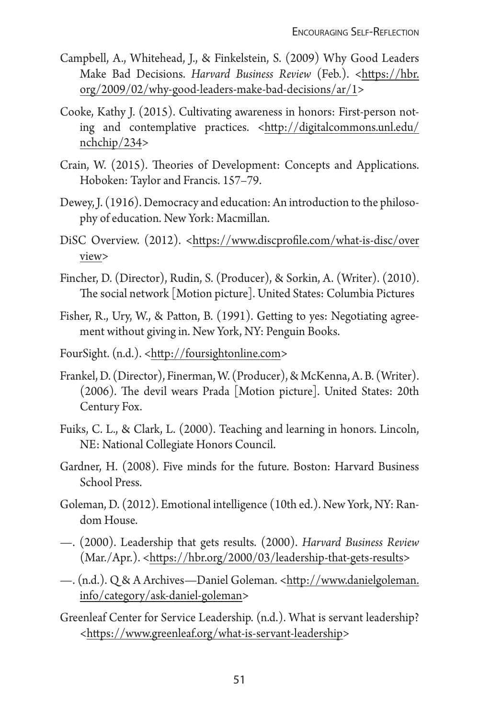- Campbell, A., Whitehead, J., & Finkelstein, S. (2009) Why Good Leaders Make Bad Decisions. *Harvard Business Review* (Feb.). <https://hbr. org/2009/02/why-good-leaders-make-bad-decisions/ar/1>
- Cooke, Kathy J. (2015). Cultivating awareness in honors: First-person noting and contemplative practices. <http://digitalcommons.unl.edu/ nchchip/234>
- Crain, W. (2015). Theories of Development: Concepts and Applications. Hoboken: Taylor and Francis. 157–79.
- Dewey, J. (1916). Democracy and education: An introduction to the philosophy of education. New York: Macmillan.
- DiSC Overview. (2012). <https://www.discprofile.com/what-is-disc/over view>
- Fincher, D. (Director), Rudin, S. (Producer), & Sorkin, A. (Writer). (2010). The social network [Motion picture]. United States: Columbia Pictures
- Fisher, R., Ury, W., & Patton, B. (1991). Getting to yes: Negotiating agreement without giving in. New York, NY: Penguin Books.
- FourSight. (n.d.). <http://foursightonline.com>
- Frankel, D. (Director), Finerman, W. (Producer), & McKenna, A. B. (Writer). (2006). The devil wears Prada [Motion picture]. United States: 20th Century Fox.
- Fuiks, C. L., & Clark, L. (2000). Teaching and learning in honors. Lincoln, NE: National Collegiate Honors Council.
- Gardner, H. (2008). Five minds for the future. Boston: Harvard Business School Press.
- Goleman, D. (2012). Emotional intelligence (10th ed.). New York, NY: Random House.
- —. (2000). Leadership that gets results. (2000). *Harvard Business Review* (Mar./Apr.). <https://hbr.org/2000/03/leadership-that-gets-results>
- —. (n.d.). Q & A Archives—Daniel Goleman. <http://www.danielgoleman. info/category/ask-daniel-goleman>
- Greenleaf Center for Service Leadership. (n.d.). What is servant leadership? <https://www.greenleaf.org/what-is-servant-leadership>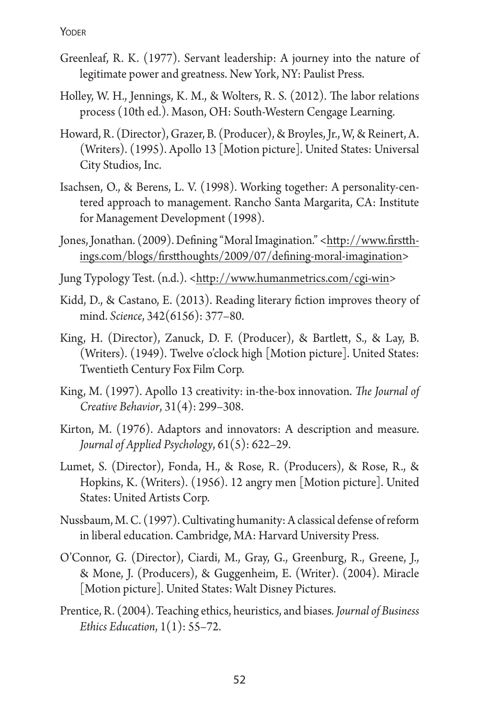- Greenleaf, R. K. (1977). Servant leadership: A journey into the nature of legitimate power and greatness. New York, NY: Paulist Press.
- Holley, W. H., Jennings, K. M., & Wolters, R. S. (2012). The labor relations process (10th ed.). Mason, OH: South-Western Cengage Learning.
- Howard, R. (Director), Grazer, B. (Producer), & Broyles, Jr., W, & Reinert, A. (Writers). (1995). Apollo 13 [Motion picture]. United States: Universal City Studios, Inc.
- Isachsen, O., & Berens, L. V. (1998). Working together: A personality-centered approach to management. Rancho Santa Margarita, CA: Institute for Management Development (1998).
- Jones, Jonathan. (2009). Defining "Moral Imagination." <http://www.firstthings.com/blogs/firstthoughts/2009/07/defining-moral-imagination>
- Jung Typology Test. (n.d.). <http://www.humanmetrics.com/cgi-win>
- Kidd, D., & Castano, E. (2013). Reading literary fiction improves theory of mind. *Science*, 342(6156): 377–80.
- King, H. (Director), Zanuck, D. F. (Producer), & Bartlett, S., & Lay, B. (Writers). (1949). Twelve o'clock high [Motion picture]. United States: Twentieth Century Fox Film Corp.
- King, M. (1997). Apollo 13 creativity: in-the-box innovation. *The Journal of Creative Behavior*, 31(4): 299–308.
- Kirton, M. (1976). Adaptors and innovators: A description and measure. *Journal of Applied Psychology*, 61(5): 622–29.
- Lumet, S. (Director), Fonda, H., & Rose, R. (Producers), & Rose, R., & Hopkins, K. (Writers). (1956). 12 angry men [Motion picture]. United States: United Artists Corp.
- Nussbaum, M. C. (1997). Cultivating humanity: A classical defense of reform in liberal education. Cambridge, MA: Harvard University Press.
- O'Connor, G. (Director), Ciardi, M., Gray, G., Greenburg, R., Greene, J., & Mone, J. (Producers), & Guggenheim, E. (Writer). (2004). Miracle [Motion picture]. United States: Walt Disney Pictures.
- Prentice, R. (2004). Teaching ethics, heuristics, and biases*. Journal of Business Ethics Education*, 1(1): 55–72.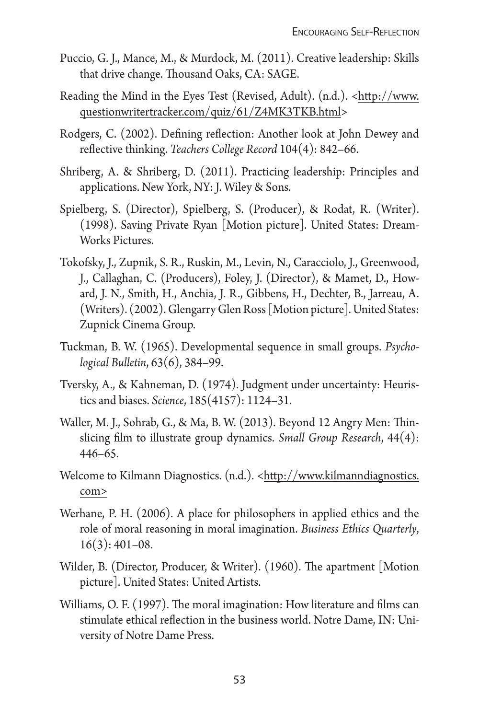- Puccio, G. J., Mance, M., & Murdock, M. (2011). Creative leadership: Skills that drive change. Thousand Oaks, CA: SAGE.
- Reading the Mind in the Eyes Test (Revised, Adult). (n.d.). <http://www. questionwritertracker.com/quiz/61/Z4MK3TKB.html>
- Rodgers, C. (2002). Defining reflection: Another look at John Dewey and reflective thinking. *Teachers College Record* 104(4): 842–66.
- Shriberg, A. & Shriberg, D. (2011). Practicing leadership: Principles and applications. New York, NY: J. Wiley & Sons.
- Spielberg, S. (Director), Spielberg, S. (Producer), & Rodat, R. (Writer). (1998). Saving Private Ryan [Motion picture]. United States: Dream-Works Pictures.
- Tokofsky, J., Zupnik, S. R., Ruskin, M., Levin, N., Caracciolo, J., Greenwood, J., Callaghan, C. (Producers), Foley, J. (Director), & Mamet, D., Howard, J. N., Smith, H., Anchia, J. R., Gibbens, H., Dechter, B., Jarreau, A. (Writers). (2002). Glengarry Glen Ross [Motion picture]. United States: Zupnick Cinema Group.
- Tuckman, B. W. (1965). Developmental sequence in small groups. *Psychological Bulletin*, 63(6), 384–99.
- Tversky, A., & Kahneman, D. (1974). Judgment under uncertainty: Heuristics and biases. *Science*, 185(4157): 1124–31.
- Waller, M. J., Sohrab, G., & Ma, B. W. (2013). Beyond 12 Angry Men: Thinslicing film to illustrate group dynamics. *Small Group Research*, 44(4): 446–65.
- Welcome to Kilmann Diagnostics. (n.d.). <http://www.kilmanndiagnostics. com>
- Werhane, P. H. (2006). A place for philosophers in applied ethics and the role of moral reasoning in moral imagination. *Business Ethics Quarterly*,  $16(3): 401-08.$
- Wilder, B. (Director, Producer, & Writer). (1960). The apartment [Motion picture]. United States: United Artists.
- Williams, O. F. (1997). The moral imagination: How literature and films can stimulate ethical reflection in the business world. Notre Dame, IN: University of Notre Dame Press.